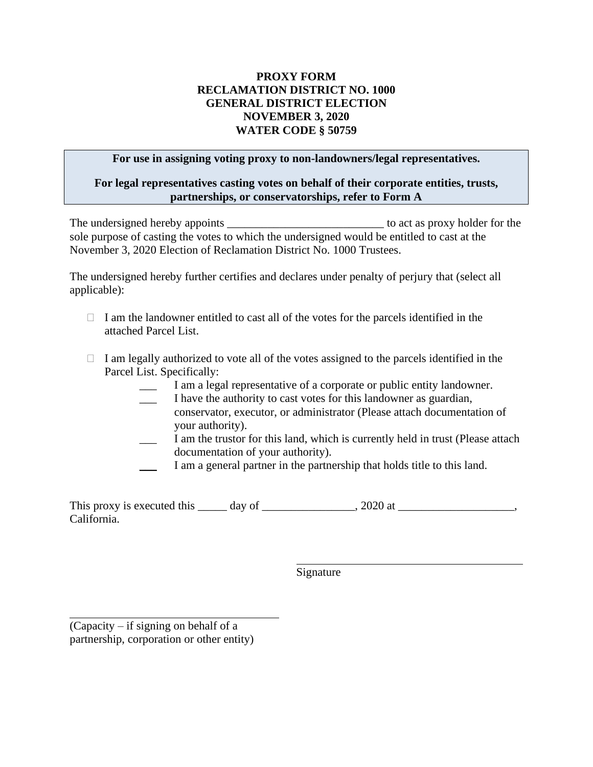## **PROXY FORM RECLAMATION DISTRICT NO. 1000 GENERAL DISTRICT ELECTION NOVEMBER 3, 2020 WATER CODE § 50759**

## **For use in assigning voting proxy to non-landowners/legal representatives.**

## **For legal representatives casting votes on behalf of their corporate entities, trusts, partnerships, or conservatorships, refer to Form A**

The undersigned hereby appoints \_\_\_\_\_\_\_\_\_\_\_\_\_\_\_\_\_\_\_\_\_\_\_\_\_\_\_ to act as proxy holder for the sole purpose of casting the votes to which the undersigned would be entitled to cast at the November 3, 2020 Election of Reclamation District No. 1000 Trustees.

The undersigned hereby further certifies and declares under penalty of perjury that (select all applicable):

- $\Box$  I am the landowner entitled to cast all of the votes for the parcels identified in the attached Parcel List.
- $\Box$  I am legally authorized to vote all of the votes assigned to the parcels identified in the Parcel List. Specifically:
	- I am a legal representative of a corporate or public entity landowner.
	- I have the authority to cast votes for this landowner as guardian, conservator, executor, or administrator (Please attach documentation of your authority).
	- I am the trustor for this land, which is currently held in trust (Please attach documentation of your authority).
	- I am a general partner in the partnership that holds title to this land.

This proxy is executed this  $\_\_\_\_$  day of  $\_\_\_\_\_\_$ , 2020 at  $\_\_\_\_\_\_\_\_$ , 2020 at  $\_\_\_\_\_\_\_$ California.

Signature

(Capacity – if signing on behalf of a partnership, corporation or other entity)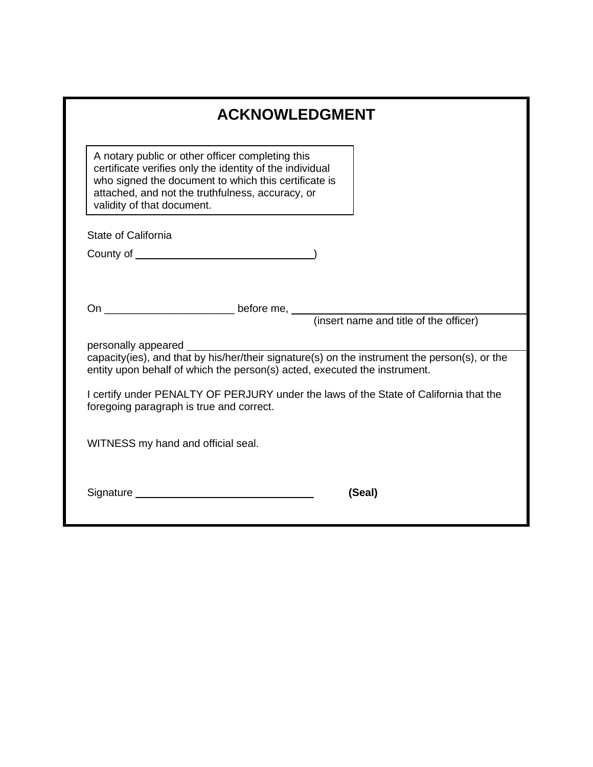| <b>ACKNOWLEDGMENT</b>                                                                                                                                                                                                                                  |  |
|--------------------------------------------------------------------------------------------------------------------------------------------------------------------------------------------------------------------------------------------------------|--|
| A notary public or other officer completing this<br>certificate verifies only the identity of the individual<br>who signed the document to which this certificate is<br>attached, and not the truthfulness, accuracy, or<br>validity of that document. |  |
| State of California                                                                                                                                                                                                                                    |  |
|                                                                                                                                                                                                                                                        |  |
|                                                                                                                                                                                                                                                        |  |
| before me,                                                                                                                                                                                                                                             |  |
| (insert name and title of the officer)                                                                                                                                                                                                                 |  |
| personally appeared _<br>capacity(ies), and that by his/her/their signature(s) on the instrument the person(s), or the                                                                                                                                 |  |
| entity upon behalf of which the person(s) acted, executed the instrument.                                                                                                                                                                              |  |
| I certify under PENALTY OF PERJURY under the laws of the State of California that the                                                                                                                                                                  |  |
| foregoing paragraph is true and correct.                                                                                                                                                                                                               |  |
| WITNESS my hand and official seal.                                                                                                                                                                                                                     |  |
|                                                                                                                                                                                                                                                        |  |
|                                                                                                                                                                                                                                                        |  |
| Signature _____<br>(Seal)                                                                                                                                                                                                                              |  |
|                                                                                                                                                                                                                                                        |  |